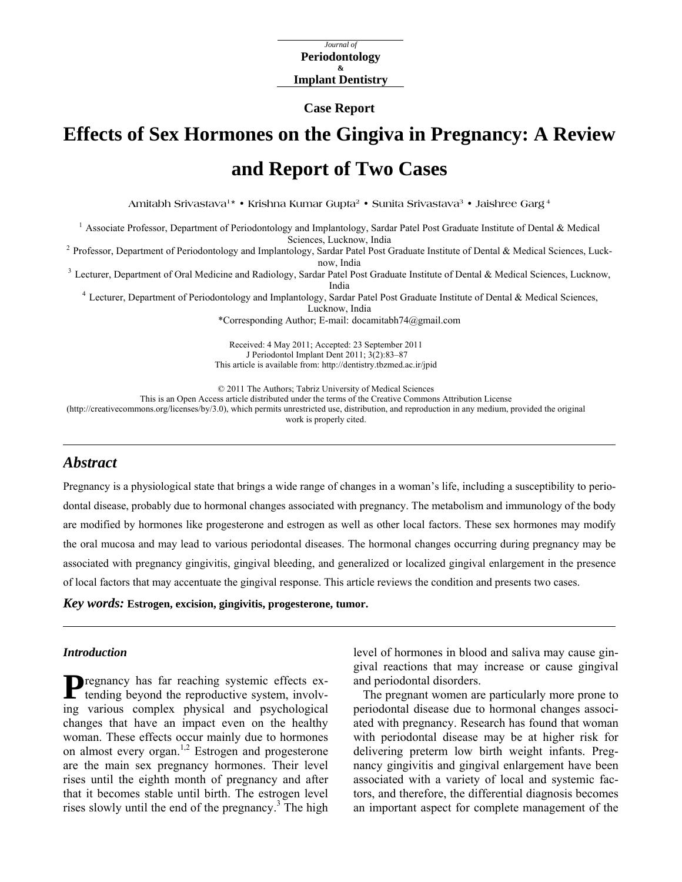#### **Case Report**

# **Effects of Sex Hormones on the Gingiva in Pregnancy: A Review and Report of Two Cases**

**Amitabh Srivastava1\* • Krishna Kumar Gupta2 • Sunita Srivastava3 • Jaishree Garg 4**

<sup>1</sup> Associate Professor, Department of Periodontology and Implantology, Sardar Patel Post Graduate Institute of Dental & Medical

<sup>2</sup> Professor, Department of Periodontology and Implantology, Sardar Patel Post Graduate Institute of Dental & Medical Sciences, Luck-

now, India<br><sup>3</sup> Lecturer, Department of Oral Medicine and Radiology, Sardar Patel Post Graduate Institute of Dental & Medical Sciences, Lucknow,

India<br><sup>4</sup> Lecturer, Department of Periodontology and Implantology, Sardar Patel Post Graduate Institute of Dental & Medical Sciences, Lucknow, India

\*Corresponding Author; E-mail: docamitabh74@gmail.com

Received: 4 May 2011; Accepted: 23 September 2011 J Periodontol Implant Dent 2011; 3(2):83–87 This article is available from:<http://dentistry.tbzmed.ac.ir/jpid>

© 2011 The Authors; Tabriz University of Medical Sciences

This is an Open Access article distributed under the terms of the Creative Commons Attribution License

[\(http://creativecommons.org/licenses/by/3.0\)](http://creativecommons.org/licenses/by/3.0), which permits unrestricted use, distribution, and reproduction in any medium, provided the original work is properly cited.

# *Abstract*

Pregnancy is a physiological state that brings a wide range of changes in a woman's life, including a susceptibility to periodontal disease, probably due to hormonal changes associated with pregnancy. The metabolism and immunology of the body are modified by hormones like progesterone and estrogen as well as other local factors. These sex hormones may modify the oral mucosa and may lead to various periodontal diseases. The hormonal changes occurring during pregnancy may be associated with pregnancy gingivitis, gingival bleeding, and generalized or localized gingival enlargement in the presence of local factors that may accentuate the gingival response. This article reviews the condition and presents two cases.

*Key words:* **Estrogen, excision, gingivitis, progesterone, tumor.**

#### *Introduction*

**T** regnancy has far reaching systemic effects ex-Pregnancy has far reaching systemic effects extending beyond the reproductive system, involving various complex physical and psychological changes that have an impact even on the healthy woman. These effects occur mainly due to hormones on almost every organ.<sup>1,2</sup> Estrogen and progesterone are the main sex pregnancy hormones. Their level rises until the eighth month of pregnancy and after that it becomes stable until birth. The estrogen level rises slowly until the end of the pregnancy.<sup>3</sup> The high level of hormones in blood and saliva may cause gingival reactions that may increase or cause gingival and periodontal disorders.

The pregnant women are particularly more prone to periodontal disease due to hormonal changes associated with pregnancy. Research has found that woman with periodontal disease may be at higher risk for delivering preterm low birth weight infants. Pregnancy gingivitis and gingival enlargement have been associated with a variety of local and systemic factors, and therefore, the differential diagnosis becomes an important aspect for complete management of the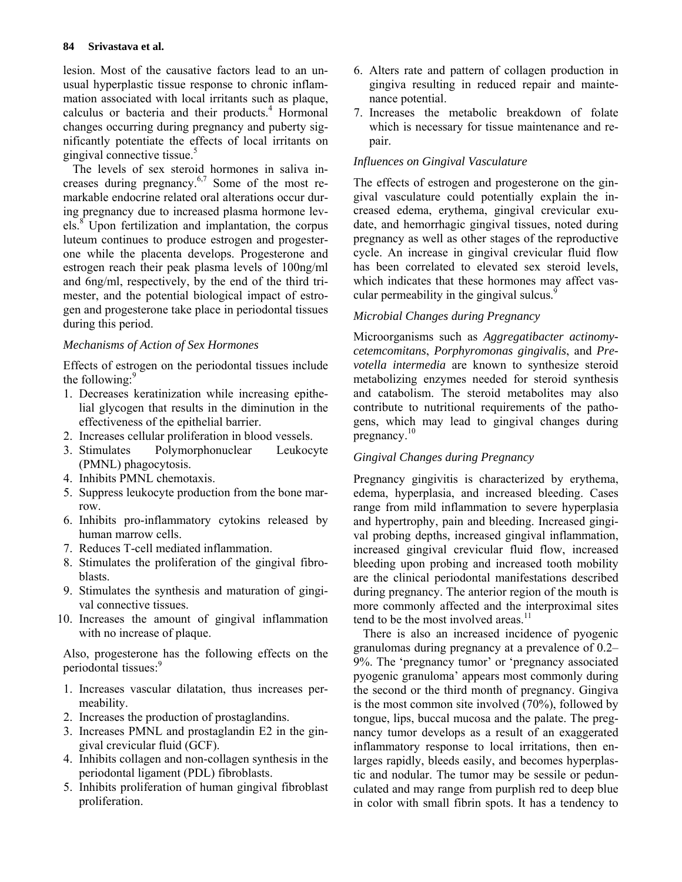lesion. Most of the causative factors lead to an unusual hyperplastic tissue response to chronic inflammation associated with local irritants such as plaque, calculus or bacteria and their products.<sup>4</sup> Hormonal changes occurring during pregnancy and puberty significantly potentiate the effects of local irritants on gingival connective tissue. $5$ 

The levels of sex steroid hormones in saliva increases during pregnancy. $6,7$  Some of the most remarkable endocrine related oral alterations occur during pregnancy due to increased plasma hormone lev $els.$ <sup>8</sup> Upon fertilization and implantation, the corpus luteum continues to produce estrogen and progesterone while the placenta develops. Progesterone and estrogen reach their peak plasma levels of 100ng/ml and 6ng/ml, respectively, by the end of the third trimester, and the potential biological impact of estrogen and progesterone take place in periodontal tissues during this period.

## *Mechanisms of Action of Sex Hormones*

Effects of estrogen on the periodontal tissues include the following:<sup>9</sup>

- 1. Decreases keratinization while increasing epithelial glycogen that results in the diminution in the effectiveness of the epithelial barrier.
- 2. Increases cellular proliferation in blood vessels.
- 3. Stimulates Polymorphonuclear Leukocyte (PMNL) phagocytosis.
- 4. Inhibits PMNL chemotaxis.
- 5. Suppress leukocyte production from the bone marrow.
- 6. Inhibits pro-inflammatory cytokins released by human marrow cells.
- 7. Reduces T-cell mediated inflammation.
- 8. Stimulates the proliferation of the gingival fibroblasts.
- 9. Stimulates the synthesis and maturation of gingival connective tissues.
- 10. Increases the amount of gingival inflammation with no increase of plaque.

Also, progesterone has the following effects on the periodontal tissues:<sup>9</sup>

- 1. Increases vascular dilatation, thus increases permeability.
- 2. Increases the production of prostaglandins.
- 3. Increases PMNL and prostaglandin E2 in the gingival crevicular fluid (GCF).
- 4. Inhibits collagen and non-collagen synthesis in the periodontal ligament (PDL) fibroblasts.
- 5. Inhibits proliferation of human gingival fibroblast proliferation.
- 6. Alters rate and pattern of collagen production in gingiva resulting in reduced repair and maintenance potential.
- 7. Increases the metabolic breakdown of folate which is necessary for tissue maintenance and repair.

# *Influences on Gingival Vasculature*

The effects of estrogen and progesterone on the gingival vasculature could potentially explain the increased edema, erythema, gingival crevicular exudate, and hemorrhagic gingival tissues, noted during pregnancy as well as other stages of the reproductive cycle. An increase in gingival crevicular fluid flow has been correlated to elevated sex steroid levels, which indicates that these hormones may affect vascular permeability in the gingival sulcus.<sup>9</sup>

# *Microbial Changes during Pregnancy*

Microorganisms such as *Aggregatibacter actinomycetemcomitans*, *Porphyromonas gingivalis*, and *Prevotella intermedia* are known to synthesize steroid metabolizing enzymes needed for steroid synthesis and catabolism. The steroid metabolites may also contribute to nutritional requirements of the pathogens, which may lead to gingival changes during pregnancy.<sup>10</sup>

# *Gingival Changes during Pregnancy*

Pregnancy gingivitis is characterized by erythema, edema, hyperplasia, and increased bleeding. Cases range from mild inflammation to severe hyperplasia and hypertrophy, pain and bleeding. Increased gingival probing depths, increased gingival inflammation, increased gingival crevicular fluid flow, increased bleeding upon probing and increased tooth mobility are the clinical periodontal manifestations described during pregnancy. The anterior region of the mouth is more commonly affected and the interproximal sites tend to be the most involved areas.<sup>11</sup>

There is also an increased incidence of pyogenic granulomas during pregnancy at a prevalence of 0.2– 9%. The 'pregnancy tumor' or 'pregnancy associated pyogenic granuloma' appears most commonly during the second or the third month of pregnancy. Gingiva is the most common site involved (70%), followed by tongue, lips, buccal mucosa and the palate. The pregnancy tumor develops as a result of an exaggerated inflammatory response to local irritations, then enlarges rapidly, bleeds easily, and becomes hyperplastic and nodular. The tumor may be sessile or pedunculated and may range from purplish red to deep blue in color with small fibrin spots. It has a tendency to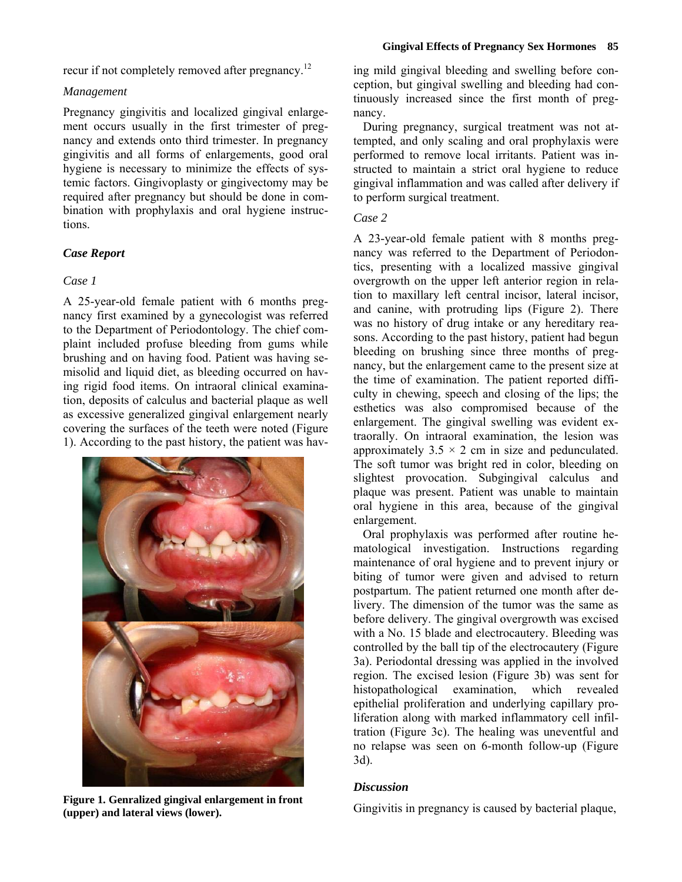recur if not completely removed after pregnancy.<sup>12</sup>

#### *Management*

Pregnancy gingivitis and localized gingival enlargement occurs usually in the first trimester of pregnancy and extends onto third trimester. In pregnancy gingivitis and all forms of enlargements, good oral hygiene is necessary to minimize the effects of systemic factors. Gingivoplasty or gingivectomy may be required after pregnancy but should be done in combination with prophylaxis and oral hygiene instructions.

## *Case Report*

## *Case 1*

A 25-year-old female patient with 6 months pregnancy first examined by a gynecologist was referred to the Department of Periodontology. The chief complaint included profuse bleeding from gums while brushing and on having food. Patient was having semisolid and liquid diet, as bleeding occurred on having rigid food items. On intraoral clinical examination, deposits of calculus and bacterial plaque as well as excessive generalized gingival enlargement nearly covering the surfaces of the teeth were noted (Figure 1). According to the past history, the patient was hav-



**Figure 1. Genralized gingival enlargement in front (upper) and lateral views (lower).**

ing mild gingival bleeding and swelling before conception, but gingival swelling and bleeding had continuously increased since the first month of pregnancy.

During pregnancy, surgical treatment was not attempted, and only scaling and oral prophylaxis were performed to remove local irritants. Patient was instructed to maintain a strict oral hygiene to reduce gingival inflammation and was called after delivery if to perform surgical treatment.

#### *Case 2*

A 23-year-old female patient with 8 months pregnancy was referred to the Department of Periodontics, presenting with a localized massive gingival overgrowth on the upper left anterior region in relation to maxillary left central incisor, lateral incisor, and canine, with protruding lips (Figure 2). There was no history of drug intake or any hereditary reasons. According to the past history, patient had begun bleeding on brushing since three months of pregnancy, but the enlargement came to the present size at the time of examination. The patient reported difficulty in chewing, speech and closing of the lips; the esthetics was also compromised because of the enlargement. The gingival swelling was evident extraorally. On intraoral examination, the lesion was approximately  $3.5 \times 2$  cm in size and pedunculated. The soft tumor was bright red in color, bleeding on slightest provocation. Subgingival calculus and plaque was present. Patient was unable to maintain oral hygiene in this area, because of the gingival enlargement.

Oral prophylaxis was performed after routine hematological investigation. Instructions regarding maintenance of oral hygiene and to prevent injury or biting of tumor were given and advised to return postpartum. The patient returned one month after delivery. The dimension of the tumor was the same as before delivery. The gingival overgrowth was excised with a No. 15 blade and electrocautery. Bleeding was controlled by the ball tip of the electrocautery (Figure 3a). Periodontal dressing was applied in the involved region. The excised lesion (Figure 3b) was sent for histopathological examination, which revealed epithelial proliferation and underlying capillary proliferation along with marked inflammatory cell infiltration (Figure 3c). The healing was uneventful and no relapse was seen on 6-month follow-up (Figure 3d).

## *Discussion*

Gingivitis in pregnancy is caused by bacterial plaque,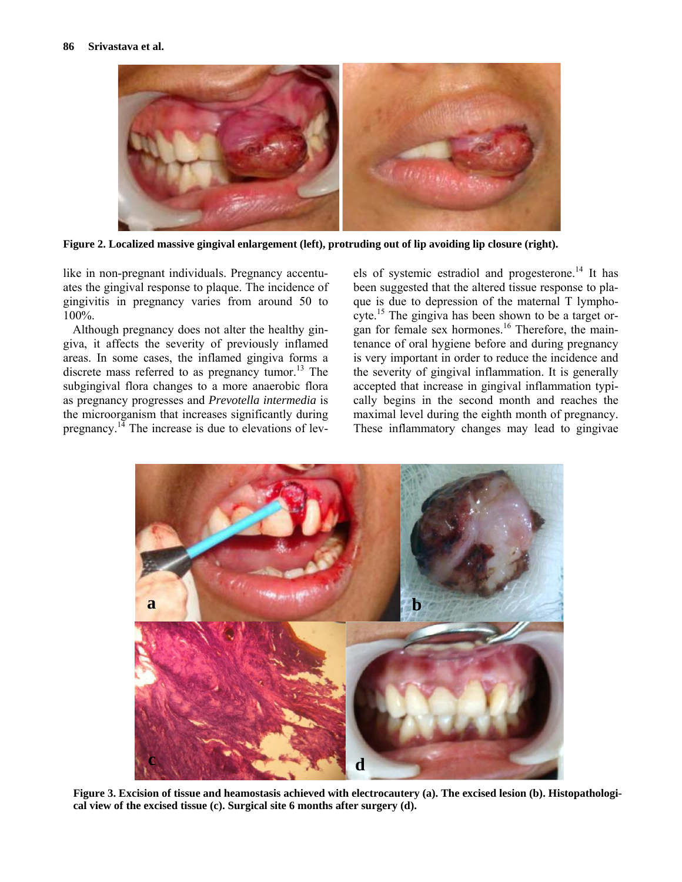#### **86 Srivastava et al.**



**Figure 2. Localized massive gingival enlargement (left), protruding out of lip avoiding lip closure (right).**

like in non-pregnant individuals. Pregnancy accentuates the gingival response to plaque. The incidence of gingivitis in pregnancy varies from around 50 to 100%.

Although pregnancy does not alter the healthy gingiva, it affects the severity of previously inflamed areas. In some cases, the inflamed gingiva forms a discrete mass referred to as pregnancy tumor.<sup>13</sup> The subgingival flora changes to a more anaerobic flora as pregnancy progresses and *Prevotella intermedia* is the microorganism that increases significantly during pregnancy.<sup>14</sup> The increase is due to elevations of lev-

els of systemic estradiol and progesterone.<sup>14</sup> It has been suggested that the altered tissue response to plaque is due to depression of the maternal T lymphocyte.<sup>15</sup> The gingiva has been shown to be a target organ for female sex hormones.<sup>16</sup> Therefore, the maintenance of oral hygiene before and during pregnancy is very important in order to reduce the incidence and the severity of gingival inflammation. It is generally accepted that increase in gingival inflammation typically begins in the second month and reaches the maximal level during the eighth month of pregnancy. These inflammatory changes may lead to gingivae



**Figure 3. Excision of tissue and heamostasis achieved with electrocautery (a). The excised lesion (b). Histopathological view of the excised tissue (c). Surgical site 6 months after surgery (d).**